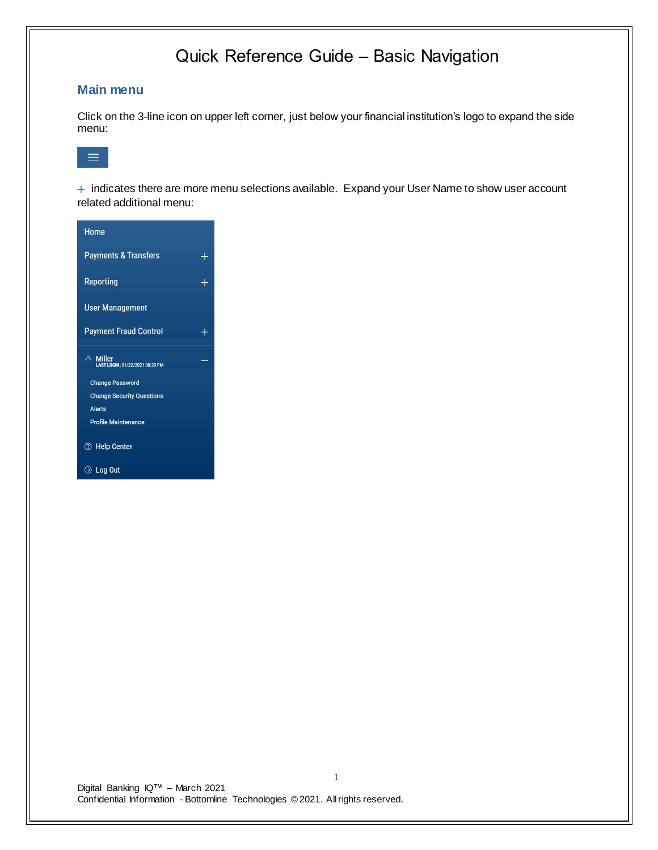### **Main menu**

Click on the 3-line icon on upper left corner, just below your financial institution's logo to expand the side menu:



+ indicates there are more menu selections available. Expand your User Name to show user account related additional menu:

| Home                                        |        |
|---------------------------------------------|--------|
| <b>Payments &amp; Transfers</b>             | $\div$ |
| <b>Reporting</b>                            | ╄      |
| <b>User Management</b>                      |        |
| <b>Payment Fraud Control</b>                |        |
| A Miller<br>LAST LOGIN: 01/22/2021 08:20 PM |        |
| <b>Change Password</b>                      |        |
| <b>Change Security Questions</b>            |        |
|                                             |        |
| Alerts                                      |        |
| <b>Profile Maintenance</b>                  |        |
| <b><sup>⑦</sup> Help Center</b>             |        |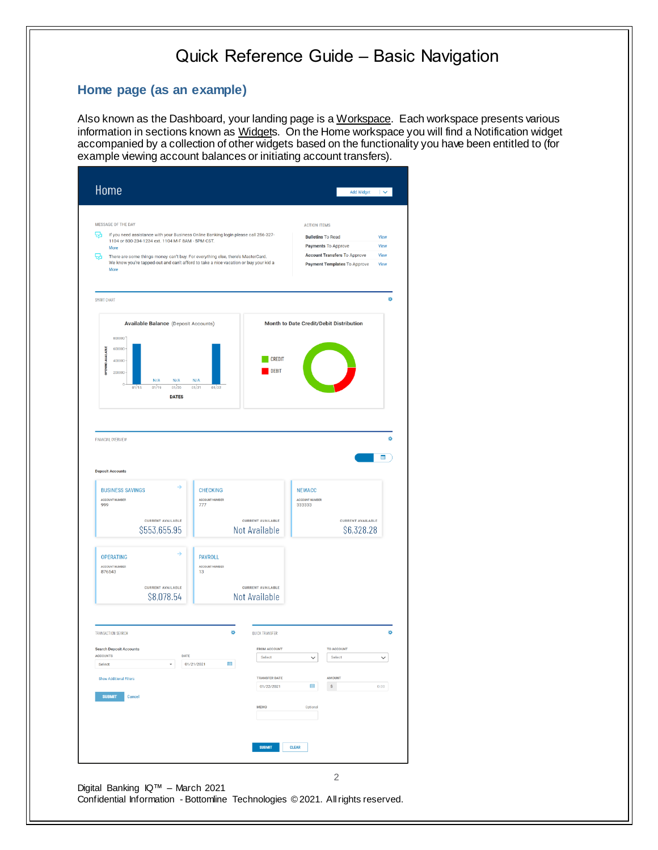### **Home page (as an example)**

Also known as the Dashboard, your landing page is a Workspace. Each workspace presents various information in sections known as Widgets. On the Home workspace you will find a Notification widget accompanied by a collection of other widgets based on the functionality you have been entitled to (for example viewing account balances or initiating account transfers).

| MESSAGE OF THE DAY                                                                                                                            |                                  |                               | <b>ACTION ITEMS</b>                             |                                     |              |
|-----------------------------------------------------------------------------------------------------------------------------------------------|----------------------------------|-------------------------------|-------------------------------------------------|-------------------------------------|--------------|
| ₩<br>If you need assistance with your Business Online Banking login please call 256-327-<br>1104 or 800-234-1234 ext. 1104 M-F 8AM - 5PM CST. |                                  |                               | <b>Bulletins To Read</b><br>Payments To Approve |                                     | View<br>View |
| More<br>品<br>There are some things money can't buy. For everything else, there's MasterCard.                                                  |                                  |                               |                                                 | <b>Account Transfers To Approve</b> | View         |
| We know you're tapped-out and can't afford to take a nice vacation or buy your kid a<br>More                                                  |                                  |                               |                                                 | Payment Templates To Approve        | View         |
| SMART CHART                                                                                                                                   |                                  |                               |                                                 |                                     |              |
| <b>Available Balance</b> (Deposit Accounts)                                                                                                   |                                  |                               | Month to Date Credit/Debit Distribution         |                                     |              |
| 800000                                                                                                                                        |                                  |                               |                                                 |                                     |              |
| 600000                                                                                                                                        |                                  | <b>CREDIT</b>                 |                                                 |                                     |              |
| <b>OPENING AVAILABLE</b><br>400000<br>200000                                                                                                  |                                  | <b>DEBIT</b>                  |                                                 |                                     |              |
| N/A<br>N/A<br>$\theta$                                                                                                                        | N/A                              |                               |                                                 |                                     |              |
| 01/19<br>01/20<br>01/15<br><b>DATES</b>                                                                                                       | 01/21<br>01/22                   |                               |                                                 |                                     |              |
|                                                                                                                                               |                                  |                               |                                                 |                                     |              |
|                                                                                                                                               |                                  |                               |                                                 |                                     |              |
| FINANCIAL OVERVIEW                                                                                                                            |                                  |                               |                                                 |                                     |              |
|                                                                                                                                               |                                  |                               |                                                 |                                     |              |
|                                                                                                                                               |                                  |                               |                                                 |                                     | Œ            |
|                                                                                                                                               |                                  |                               |                                                 |                                     |              |
| <b>Deposit Accounts</b>                                                                                                                       |                                  |                               |                                                 |                                     |              |
| →<br><b>BUSINESS SAVINGS</b>                                                                                                                  | <b>CHECKING</b>                  |                               | <b>NEWACC</b>                                   |                                     |              |
| ACCOUNT NUMBER                                                                                                                                | <b>ACCOUNT NUMBER</b>            |                               | ACCOUNT NUMBER                                  |                                     |              |
| 999                                                                                                                                           | 777                              |                               | 333333                                          |                                     |              |
| <b>CURRENT AVAILABLE</b>                                                                                                                      |                                  | <b>CURRENT AVAILABLE</b>      |                                                 | <b>CURRENT AVAILABLE</b>            |              |
| \$553,655.95                                                                                                                                  |                                  | Not Available                 |                                                 | \$6,328.28                          |              |
| ⇒                                                                                                                                             |                                  |                               |                                                 |                                     |              |
| <b>OPERATING</b><br>ACCOUNT NUMBER                                                                                                            | <b>PAYROLL</b><br>ACCOUNT NUMBER |                               |                                                 |                                     |              |
| 876543                                                                                                                                        | 13                               |                               |                                                 |                                     |              |
| <b>CURRENT AVAILABLE</b>                                                                                                                      |                                  | <b>CURRENT AVAILABLE</b>      |                                                 |                                     |              |
| \$8,078.54                                                                                                                                    |                                  | Not Available                 |                                                 |                                     |              |
| TRANSACTION SEARCH                                                                                                                            | ₩                                | <b>OUICK TRANSFER</b>         |                                                 |                                     |              |
|                                                                                                                                               |                                  |                               |                                                 |                                     |              |
| <b>Search Deposit Accounts</b><br><b>ACCOUNTS</b><br>DATE                                                                                     |                                  | <b>FROM ACCOUNT</b><br>Select | $\checkmark$                                    | TO ACCOUNT<br>Select                | $\checkmark$ |
| Select<br>$\bar{\phantom{a}}$                                                                                                                 | 田<br>01/21/2021                  |                               |                                                 |                                     |              |
| <b>Show Additional Filters</b>                                                                                                                |                                  | <b>TRANSFER DATE</b>          |                                                 | AMOUNT                              |              |
| <b>SUBMIT</b><br>Cancel                                                                                                                       |                                  | 01/22/2021                    | 曲                                               | S                                   | 0.00         |
|                                                                                                                                               |                                  | <b>MEMO</b>                   | Optional                                        |                                     |              |
|                                                                                                                                               |                                  |                               |                                                 |                                     |              |
|                                                                                                                                               |                                  |                               |                                                 |                                     |              |
|                                                                                                                                               |                                  | <b>SUBMIT</b>                 | <b>CLEAR</b>                                    |                                     |              |

Confidential Information - Bottomline Technologies © 2021. Allrights reserved.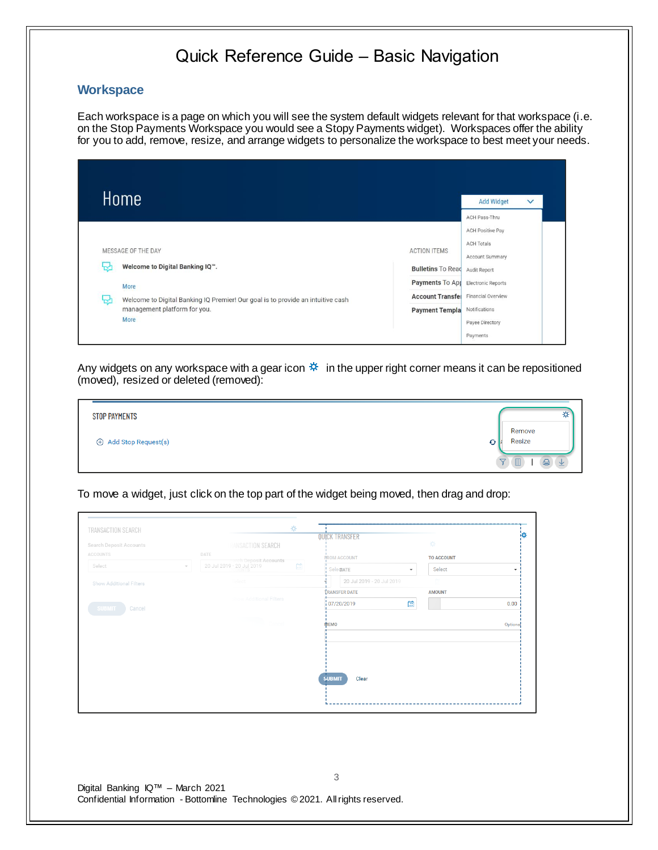#### **Workspace**

Each workspace is a page on which you will see the system default widgets relevant for that workspace (i.e. on the Stop Payments Workspace you would see a Stopy Payments widget). Workspaces offer the ability for you to add, remove, resize, and arrange widgets to personalize the workspace to best meet your needs.

| MESSAGE OF THE DAY<br>Welcome to Digital Banking IQ".<br>₩<br>More<br>Welcome to Digital Banking IQ Premier! Our goal is to provide an intuitive cash<br>~<br>management platform for you. |                                                                                         | <b>Add Widget</b><br>$\checkmark$        |
|--------------------------------------------------------------------------------------------------------------------------------------------------------------------------------------------|-----------------------------------------------------------------------------------------|------------------------------------------|
|                                                                                                                                                                                            |                                                                                         | ACH Pass-Thru<br><b>ACH Positive Pay</b> |
|                                                                                                                                                                                            | <b>ACTION ITEMS</b><br><b>Bulletins To Read Audit Report</b>                            | <b>ACH Totals</b><br>Account Summary     |
|                                                                                                                                                                                            | <b>Payments To App</b> Electronic Reports<br><b>Account Transfel</b> Financial Overview |                                          |
| More                                                                                                                                                                                       | Payment Templa Notifications                                                            | Payee Directory                          |

Any widgets on any workspace with a gear icon  $*$  in the upper right corner means it can be repositioned (moved), resized or deleted (removed):

| <b>STOP PAYMENTS</b> | ⋫                 |
|----------------------|-------------------|
| Add Stop Request(s)  | Remove<br>Resize  |
|                      | 습.<br>坐<br>▽<br>Ш |

To move a widget, just click on the top part of the widget being moved, then drag and drop:

|                                     |      |                               |   | <b>QUICK TRANSFER</b>     |   | 萘                 | łQ.      |
|-------------------------------------|------|-------------------------------|---|---------------------------|---|-------------------|----------|
| Search Deposit Accounts<br>ACCOUNTS |      | RANSACTION SEARCH             |   |                           |   |                   |          |
|                                     | DATE | rch Deposit Accounts          |   | <b>FROM ACCOUNT</b>       |   | <b>TO ACCOUNT</b> |          |
| Select                              |      | 20 Jul 2019 - 20 Jul 2019     | 岡 | ! SelectATE               |   | Select            | ٠        |
| Show Additional Filters             |      | Select                        |   | 20 Jul 2019 - 20 Jul 2019 |   |                   |          |
|                                     |      |                               |   | <b>TRANSFER DATE</b>      |   | <b>AMOUNT</b>     |          |
| SUBMIT 1<br>Cancel                  |      | <b>how Additional Filters</b> |   | 107/20/2019               | 曲 |                   | 0.00     |
|                                     |      | $\Box$ Cancel                 |   | MEMO                      |   |                   | Optional |
|                                     |      |                               |   |                           |   |                   |          |
|                                     |      |                               |   |                           |   |                   |          |
|                                     |      |                               |   |                           |   |                   |          |
|                                     |      |                               |   |                           |   |                   |          |
|                                     |      |                               |   | Clear<br><b>SUBMIT</b>    |   |                   |          |
|                                     |      |                               |   |                           |   |                   |          |
|                                     |      |                               |   |                           |   |                   |          |
|                                     |      |                               |   |                           |   |                   |          |
|                                     |      |                               |   |                           |   |                   |          |
|                                     |      |                               |   |                           |   |                   |          |
|                                     |      |                               |   |                           |   |                   |          |
|                                     |      |                               |   |                           |   |                   |          |
| Digital Banking IQ™ - March 2021    |      |                               |   | 3                         |   |                   |          |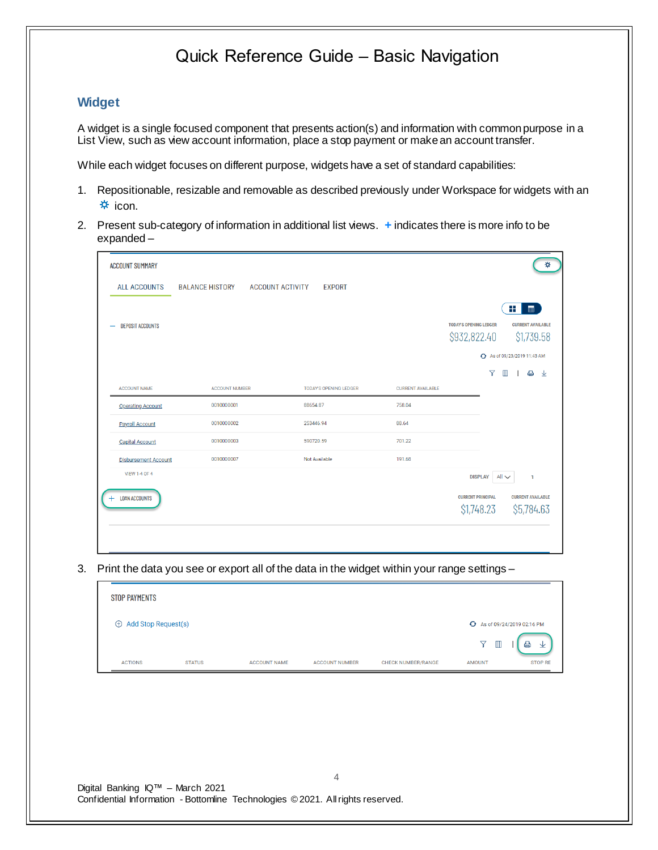### **Widget**

A widget is a single focused component that presents action(s) and information with common purpose in a List View, such as view account information, place a stop payment or makean account transfer.

While each widget focuses on different purpose, widgets have a set of standard capabilities:

- 1. Repositionable, resizable and removable as described previously under Workspace for widgets with an  $\frac{1}{2}$  icon.
- 2. Present sub-category of information in additional list views. **+** indicates there is more info to be expanded –

| <b>ACCOUNT SUMMARY</b>      |                        |                         |                               |                          |                                               |                                        |
|-----------------------------|------------------------|-------------------------|-------------------------------|--------------------------|-----------------------------------------------|----------------------------------------|
| <b>ALL ACCOUNTS</b>         | <b>BALANCE HISTORY</b> | <b>ACCOUNT ACTIVITY</b> | <b>EXPORT</b>                 |                          |                                               |                                        |
|                             |                        |                         |                               |                          |                                               | ₩.<br>$\blacksquare$                   |
| <b>DEPOSIT ACCOUNTS</b>     |                        |                         |                               |                          | <b>TODAY'S OPENING LEDGER</b><br>\$932,822.40 | <b>CURRENT AVAILABLE</b><br>\$1,739.58 |
|                             |                        |                         |                               |                          |                                               | ← As of 09/23/2019 11:43 AM            |
|                             |                        |                         |                               |                          | $\triangledown$                               | $\blacksquare$<br>∣ ⊜ ⊻                |
| <b>ACCOUNT NAME</b>         | <b>ACCOUNT NUMBER</b>  |                         | <b>TODAY'S OPENING LEDGER</b> | <b>CURRENT AVAILABLE</b> |                                               |                                        |
| <b>Operating Account</b>    | 0010000001             | 88654.87                |                               | 758.04                   |                                               |                                        |
| <b>Payroll Account</b>      | 0010000002             | 253446.94               |                               | 88.64                    |                                               |                                        |
| <b>Capital Account</b>      | 0010000003             | 590720.59               |                               | 701.22                   |                                               |                                        |
| <b>Disbursement Account</b> | 0010000007             |                         | Not Available                 | 191.68                   |                                               |                                        |
| <b>VIEW 1-4 OF 4</b>        |                        |                         |                               |                          | <b>DISPLAY</b>                                | $All \sim$<br>$\mathbf{1}$             |
| <b>LOAN ACCOUNTS</b><br>$+$ |                        |                         |                               |                          | <b>CURRENT PRINCIPAL</b>                      | <b>CURRENT AVAILABLE</b>               |
|                             |                        |                         |                               |                          | \$1,748.23                                    | \$5,784.63                             |
|                             |                        |                         |                               |                          |                                               |                                        |
|                             |                        |                         |                               |                          |                                               |                                        |

3. Print the data you see or export all of the data in the widget within your range settings –

| <b>STOP PAYMENTS</b>         |               |                     |                       |                           |                                                    |                          |
|------------------------------|---------------|---------------------|-----------------------|---------------------------|----------------------------------------------------|--------------------------|
| $\oplus$ Add Stop Request(s) |               |                     |                       |                           | G As of 09/24/2019 02:16 PM                        |                          |
| <b>ACTIONS</b>               | <b>STATUS</b> | <b>ACCOUNT NAME</b> | <b>ACCOUNT NUMBER</b> | <b>CHECK NUMBER/RANGE</b> | $\triangledown$<br>$\blacksquare$<br><b>AMOUNT</b> | 业<br>e<br><b>STOP RE</b> |

Digital Banking IQ™ – March 2021 Confidential Information - Bottomline Technologies © 2021. Allrights reserved.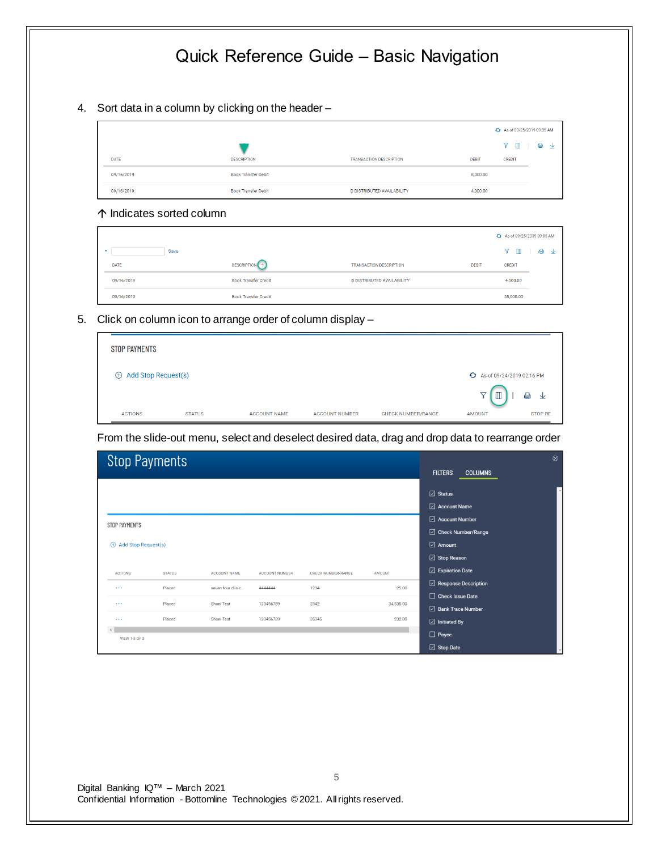4. Sort data in a column by clicking on the header –

|             |                            |                                |              | + As of 09/25/2019 09:05 AM |
|-------------|----------------------------|--------------------------------|--------------|-----------------------------|
|             |                            |                                |              | Y II<br>△<br>$\vee$         |
| <b>DATE</b> | <b>DESCRIPTION</b>         | <b>TRANSACTION DESCRIPTION</b> | <b>DEBIT</b> | <b>CREDIT</b>               |
| 09/16/2019  | <b>Book Transfer Debit</b> |                                | 8,000.00     |                             |
| 09/16/2019  | <b>Book Transfer Debit</b> | D DISTRIBUTED AVAILABILITY     | 4,000.00     |                             |
|             |                            |                                |              |                             |

#### Indicates sorted column

|            |                             |                                   |              | As of 09/25/2019 09:05 AM |     |
|------------|-----------------------------|-----------------------------------|--------------|---------------------------|-----|
| Save       |                             |                                   |              | Y M                       | ■ ↑ |
| DATE       | <b>DESCRIPTION</b> 1        | <b>TRANSACTION DESCRIPTION</b>    | <b>DEBIT</b> | <b>CREDIT</b>             |     |
| 09/16/2019 | <b>Book Transfer Credit</b> | <b>D DISTRIBUTED AVAILABILITY</b> |              | 4,000.00                  |     |
| 09/16/2019 | <b>Book Transfer Credit</b> |                                   |              | 55,000.00                 |     |

5. Click on column icon to arrange order of column display –

| <b>STOP PAYMENTS</b>         |               |                     |                       |                           |                                                    |                          |
|------------------------------|---------------|---------------------|-----------------------|---------------------------|----------------------------------------------------|--------------------------|
| $\oplus$ Add Stop Request(s) |               |                     |                       |                           | + As of 09/24/2019 02:16 PM                        |                          |
| <b>ACTIONS</b>               | <b>STATUS</b> | <b>ACCOUNT NAME</b> | <b>ACCOUNT NUMBER</b> | <b>CHECK NUMBER/RANGE</b> | $\blacksquare$<br>$\triangledown$<br><b>AMOUNT</b> | €<br>业<br><b>STOP RE</b> |

From the slide-out menu, select and deselect desired data, drag and drop data to rearrange order

|                              | <b>Stop Payments</b> |                     |                       |                           |               |                                     | $\circledR$ |
|------------------------------|----------------------|---------------------|-----------------------|---------------------------|---------------|-------------------------------------|-------------|
|                              |                      |                     |                       |                           |               | <b>FILTERS</b><br><b>COLUMNS</b>    |             |
|                              |                      |                     |                       |                           |               | $\boxdot$ Status                    | $\Delta$    |
|                              |                      |                     |                       |                           |               | $\boxed{\triangle}$ Account Name    |             |
| <b>STOP PAYMENTS</b>         |                      |                     |                       |                           |               | □ Account Number                    |             |
|                              |                      |                     |                       |                           |               | □ Check Number/Range                |             |
| $\oplus$ Add Stop Request(s) |                      |                     |                       |                           |               | $\boxdot$ Amount                    |             |
|                              |                      |                     |                       |                           |               | $\boxdot$ Stop Reason               |             |
| <b>ACTIONS</b>               | <b>STATUS</b>        | <b>ACCOUNT NAME</b> | <b>ACCOUNT NUMBER</b> | <b>CHECK NUMBER/RANGE</b> | <b>AMOUNT</b> | $\boxed{\triangle}$ Expiration Date |             |
| $\cdots$                     | Placed               | seven four diis c   | 4444444               | 1234                      | 25.00         | Response Description                |             |
|                              |                      |                     |                       |                           |               | $\Box$ Check Issue Date             |             |
| $\cdots$                     | Placed               | Shoni Test          | 123456789             | 2342                      | 34,535.00     | □ Bank Trace Number                 |             |
| $\cdots$                     | Placed               | Shoni Test          | 123456789             | 35345                     | 232.00        | $\boxdot$ Initiated By              |             |
| <b>VIEW 1-3 OF 3</b>         |                      |                     |                       |                           |               | $\Box$ Payee                        |             |
|                              |                      |                     |                       |                           |               | $\boxdot$ Stop Date                 |             |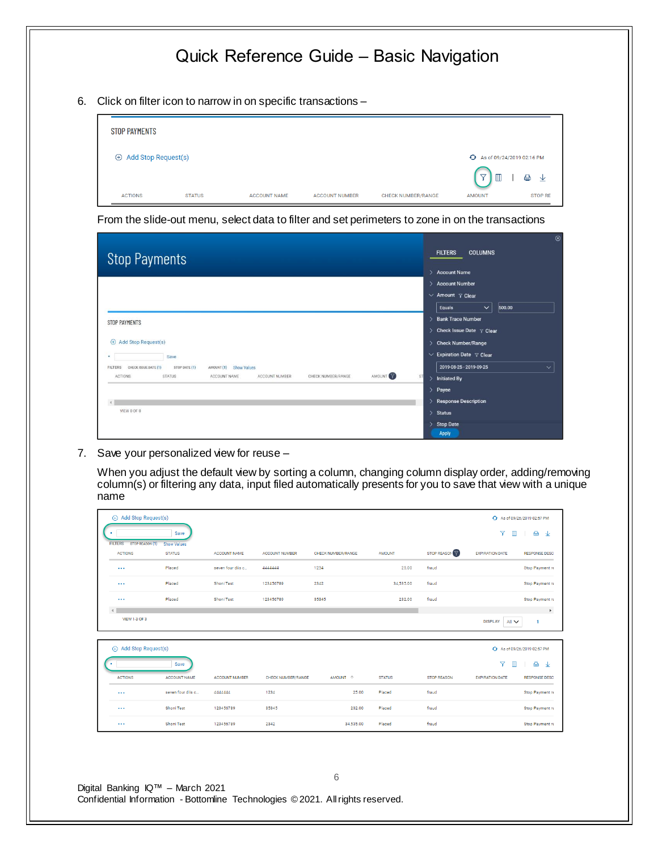6. Click on filter icon to narrow in on specific transactions –

| <b>STOP PAYMENTS</b>         |               |                     |                       |                           |                                                                  |                |
|------------------------------|---------------|---------------------|-----------------------|---------------------------|------------------------------------------------------------------|----------------|
| $\oplus$ Add Stop Request(s) |               |                     |                       |                           | + As of 09/24/2019 02:16 PM<br>$\triangledown$<br>$\blacksquare$ | €<br>⊻         |
| <b>ACTIONS</b>               | <b>STATUS</b> | <b>ACCOUNT NAME</b> | <b>ACCOUNT NUMBER</b> | <b>CHECK NUMBER/RANGE</b> | <b>AMOUNT</b>                                                    | <b>STOP RE</b> |

From the slide-out menu, select data to filter and set perimeters to zone in on the transactions

| <b>Stop Payments</b>                                                                              | $\circledcirc$<br><b>FILTERS</b><br><b>COLUMNS</b> |
|---------------------------------------------------------------------------------------------------|----------------------------------------------------|
|                                                                                                   | <b>Account Name</b><br>\,                          |
|                                                                                                   | <b>Account Number</b><br>$\mathbf{v}$              |
|                                                                                                   | $\vee$ Amount $\gamma$ Clear                       |
|                                                                                                   | Equals<br>500.00<br>$\checkmark$                   |
| STOP PAYMENTS                                                                                     | <b>Bank Trace Number</b><br>$\rightarrow$          |
|                                                                                                   | Check Issue Date $\gamma$ Clear<br>$\rightarrow$   |
| Add Stop Request(s)<br>$\bigoplus$                                                                | <b>Check Number/Range</b><br>$\mathcal{E}$         |
| Save                                                                                              | $\vee$ Expiration Date $\varphi$ Clear             |
| AMOUNT (1) Show Values<br>CHECK ISSUE DATE (1)<br>STOP DATE (1)<br><b>FILTERS</b>                 | 2019-08-25 - 2019-09-25<br>$\checkmark$            |
| AMOUNT<br><b>STATUS</b><br><b>ACTIONS</b><br>ACCOUNT NAME<br>ACCOUNT NUMBER<br>CHECK NUMBER/RANGE | ST <sub>1</sub><br><b>Initiated By</b><br>٠        |
|                                                                                                   | $\mathbf{y}$<br>Payee                              |
|                                                                                                   | <b>Response Description</b><br>١,                  |
| VIEW 0 OF 0                                                                                       | $\rightarrow$<br><b>Status</b>                     |
|                                                                                                   | <b>Stop Date</b><br>$\rightarrow$                  |
|                                                                                                   | <b>Apply</b>                                       |

7. Save your personalized view for reuse –

When you adjust the default view by sorting a column, changing column display order, adding/removing column(s) or filtering any data, input filed automatically presents for you to save that view with a unique name

| Add Stop Request(s) |                                                            |                                     |                       |                       |                    |               |                    |                                   | As of 09/26/2019 02:57 PM          |
|---------------------|------------------------------------------------------------|-------------------------------------|-----------------------|-----------------------|--------------------|---------------|--------------------|-----------------------------------|------------------------------------|
| ٠                   |                                                            | Save                                |                       |                       |                    |               |                    | 7<br>m                            | $\oplus$<br>业                      |
|                     | <b>STOP REASON (1)</b><br><b>FILTERS</b><br><b>ACTIONS</b> | <b>Show Values</b><br><b>STATUS</b> | <b>ACCOUNT NAME</b>   | <b>ACCOUNT NUMBER</b> | CHECK NUMBER/RANGE | <b>AMOUNT</b> | STOP REASON Y      | <b>EXPIRATION DATE</b>            | <b>RESPONSE DESC</b>               |
|                     | $\cdots$                                                   | Placed                              | seven four diis c     | 4444444               | 1234               | 25.00         | fraud              |                                   | Stop Payment re                    |
|                     | $\cdots$                                                   | Placed                              | Shoni Test            | 123456789             | 2342               | 34,535.00     | fraud              |                                   | Stop Payment re                    |
|                     | $\sim$ $\sim$ $\sim$                                       | Placed                              | Shoni Test            | 123456789             | 35345              | 232.00        | fraud              |                                   | Stop Payment re                    |
|                     | VIEW 1-3 OF 3                                              |                                     |                       |                       |                    |               |                    | $All \vee$<br><b>DISPLAY</b>      | $\bar{\mathbf{F}}$<br>$\mathbf{1}$ |
|                     | (+) Add Stop Request(s)                                    |                                     |                       |                       |                    |               |                    |                                   | As of 09/26/2019 02:57 PM          |
| ٠                   |                                                            | Save                                |                       |                       |                    |               |                    | $\triangledown$<br>$\blacksquare$ | $\oplus$<br>$\frac{1}{2}$          |
|                     | <b>ACTIONS</b>                                             | <b>ACCOUNT NAME</b>                 | <b>ACCOUNT NUMBER</b> | CHECK NUMBER/RANGE    | AMOUNT 1           | <b>STATUS</b> | <b>STOP REASON</b> | <b>EXPIRATION DATE</b>            | <b>RESPONSE DESC</b>               |
|                     | $\sim$ $\sim$ $\sim$                                       | seven four diis c                   | 4444444               | 1234                  | 25.00              | Placed        | fraud              |                                   | Stop Payment re                    |
|                     | $\cdots$                                                   | Shoni Test                          | 123456789             | 35345                 | 232.00             | Placed        | fraud              |                                   | Stop Payment re                    |
|                     | $\sim$ $\sim$ $\sim$                                       | Shoni Test                          | 123456789             | 2342                  | 34,535.00          | Placed        | fraud              |                                   | Stop Payment re                    |